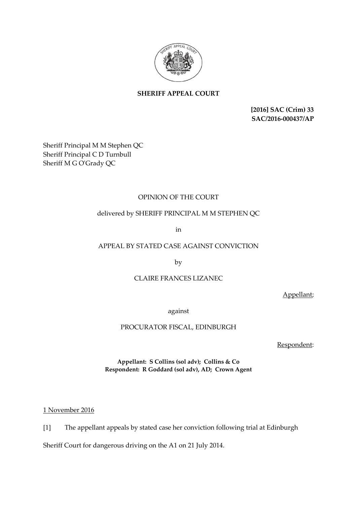

# **SHERIFF APPEAL COURT**

**[2016] SAC (Crim) 33 SAC/2016-000437/AP**

Sheriff Principal M M Stephen QC Sheriff Principal C D Turnbull Sheriff M G O'Grady QC

# OPINION OF THE COURT

## delivered by SHERIFF PRINCIPAL M M STEPHEN QC

in

# APPEAL BY STATED CASE AGAINST CONVICTION

by

### CLAIRE FRANCES LIZANEC

Appellant;

against

### PROCURATOR FISCAL, EDINBURGH

Respondent:

**Appellant: S Collins (sol adv); Collins & Co Respondent: R Goddard (sol adv), AD; Crown Agent** 

1 November 2016

[1] The appellant appeals by stated case her conviction following trial at Edinburgh

Sheriff Court for dangerous driving on the A1 on 21 July 2014.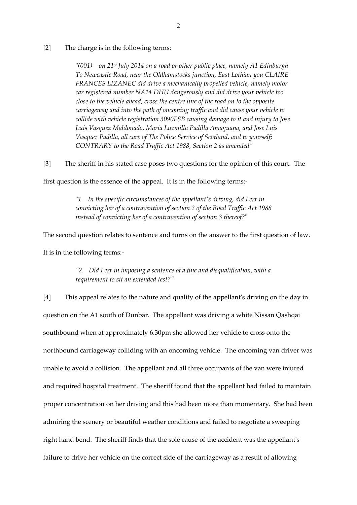#### [2] The charge is in the following terms:

"*(001) on 21st July 2014 on a road or other public place, namely A1 Edinburgh To Newcastle Road, near the Oldhamstocks junction, East Lothian you CLAIRE FRANCES LIZANEC did drive a mechanically propelled vehicle, namely motor car registered number NA14 DHU dangerously and did drive your vehicle too close to the vehicle ahead, cross the centre line of the road on to the opposite carriageway and into the path of oncoming traffic and did cause your vehicle to collide with vehicle registration 3090FSB causing damage to it and injury to Jose Luis Vasquez Maldonado, Maria Luzmilla Padilla Amaguana, and Jose Luis Vasquez Padilla, all care of The Police Service of Scotland, and to yourself; CONTRARY to the Road Traffic Act 1988, Section 2 as amended"*

[3] The sheriff in his stated case poses two questions for the opinion of this court. The

first question is the essence of the appeal. It is in the following terms:-

"*1. In the specific circumstances of the appellant's driving, did I err in convicting her of a contravention of section 2 of the Road Traffic Act 1988 instead of convicting her of a contravention of section 3 thereof?*"

The second question relates to sentence and turns on the answer to the first question of law.

It is in the following terms:-

*"2. Did I err in imposing a sentence of a fine and disqualification, with a requirement to sit an extended test?"*

[4] This appeal relates to the nature and quality of the appellant's driving on the day in question on the A1 south of Dunbar. The appellant was driving a white Nissan Qashqai southbound when at approximately 6.30pm she allowed her vehicle to cross onto the northbound carriageway colliding with an oncoming vehicle. The oncoming van driver was unable to avoid a collision. The appellant and all three occupants of the van were injured and required hospital treatment. The sheriff found that the appellant had failed to maintain proper concentration on her driving and this had been more than momentary. She had been admiring the scenery or beautiful weather conditions and failed to negotiate a sweeping right hand bend. The sheriff finds that the sole cause of the accident was the appellant's failure to drive her vehicle on the correct side of the carriageway as a result of allowing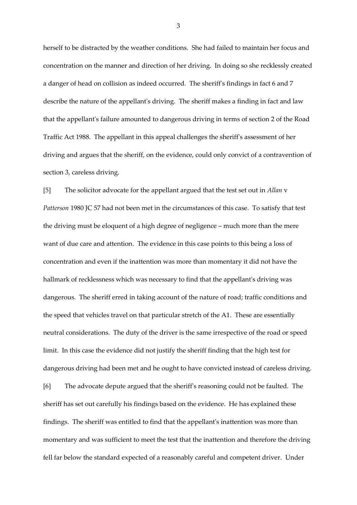herself to be distracted by the weather conditions. She had failed to maintain her focus and concentration on the manner and direction of her driving. In doing so she recklessly created a danger of head on collision as indeed occurred. The sheriff's findings in fact 6 and 7 describe the nature of the appellant's driving. The sheriff makes a finding in fact and law that the appellant's failure amounted to dangerous driving in terms of section 2 of the Road Traffic Act 1988. The appellant in this appeal challenges the sheriff's assessment of her driving and argues that the sheriff, on the evidence, could only convict of a contravention of section 3, careless driving.

[5] The solicitor advocate for the appellant argued that the test set out in *Allan* v *Patterson* 1980 JC 57 had not been met in the circumstances of this case. To satisfy that test the driving must be eloquent of a high degree of negligence – much more than the mere want of due care and attention. The evidence in this case points to this being a loss of concentration and even if the inattention was more than momentary it did not have the hallmark of recklessness which was necessary to find that the appellant's driving was dangerous. The sheriff erred in taking account of the nature of road; traffic conditions and the speed that vehicles travel on that particular stretch of the A1. These are essentially neutral considerations. The duty of the driver is the same irrespective of the road or speed limit. In this case the evidence did not justify the sheriff finding that the high test for dangerous driving had been met and he ought to have convicted instead of careless driving. [6] The advocate depute argued that the sheriff's reasoning could not be faulted. The sheriff has set out carefully his findings based on the evidence. He has explained these findings. The sheriff was entitled to find that the appellant's inattention was more than momentary and was sufficient to meet the test that the inattention and therefore the driving fell far below the standard expected of a reasonably careful and competent driver. Under

3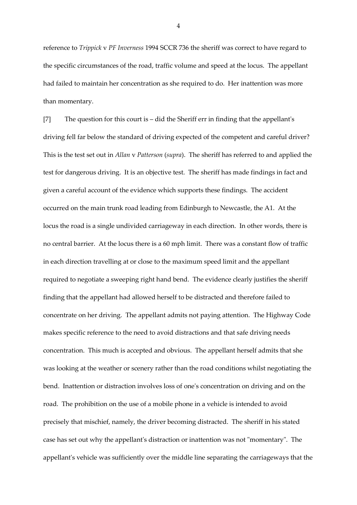reference to *Trippick* v *PF Inverness* 1994 SCCR 736 the sheriff was correct to have regard to the specific circumstances of the road, traffic volume and speed at the locus. The appellant had failed to maintain her concentration as she required to do. Her inattention was more than momentary.

[7] The question for this court is – did the Sheriff err in finding that the appellant's driving fell far below the standard of driving expected of the competent and careful driver? This is the test set out in *Allan* v *Patterson* (*supra*). The sheriff has referred to and applied the test for dangerous driving. It is an objective test. The sheriff has made findings in fact and given a careful account of the evidence which supports these findings. The accident occurred on the main trunk road leading from Edinburgh to Newcastle, the A1. At the locus the road is a single undivided carriageway in each direction. In other words, there is no central barrier. At the locus there is a 60 mph limit. There was a constant flow of traffic in each direction travelling at or close to the maximum speed limit and the appellant required to negotiate a sweeping right hand bend. The evidence clearly justifies the sheriff finding that the appellant had allowed herself to be distracted and therefore failed to concentrate on her driving. The appellant admits not paying attention. The Highway Code makes specific reference to the need to avoid distractions and that safe driving needs concentration. This much is accepted and obvious. The appellant herself admits that she was looking at the weather or scenery rather than the road conditions whilst negotiating the bend. Inattention or distraction involves loss of one's concentration on driving and on the road. The prohibition on the use of a mobile phone in a vehicle is intended to avoid precisely that mischief, namely, the driver becoming distracted. The sheriff in his stated case has set out why the appellant's distraction or inattention was not "momentary". The appellant's vehicle was sufficiently over the middle line separating the carriageways that the

4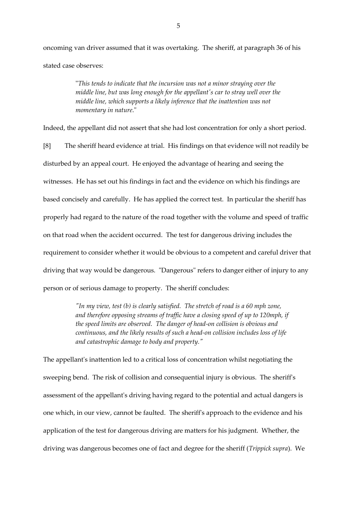oncoming van driver assumed that it was overtaking. The sheriff, at paragraph 36 of his stated case observes:

> "*This tends to indicate that the incursion was not a minor straying over the middle line, but was long enough for the appellant's car to stray well over the middle line, which supports a likely inference that the inattention was not momentary in nature*."

Indeed, the appellant did not assert that she had lost concentration for only a short period.

[8] The sheriff heard evidence at trial. His findings on that evidence will not readily be disturbed by an appeal court. He enjoyed the advantage of hearing and seeing the witnesses. He has set out his findings in fact and the evidence on which his findings are based concisely and carefully. He has applied the correct test. In particular the sheriff has properly had regard to the nature of the road together with the volume and speed of traffic on that road when the accident occurred. The test for dangerous driving includes the requirement to consider whether it would be obvious to a competent and careful driver that driving that way would be dangerous. "Dangerous" refers to danger either of injury to any person or of serious damage to property. The sheriff concludes:

> *"In my view, test (b) is clearly satisfied. The stretch of road is a 60 mph zone, and therefore opposing streams of traffic have a closing speed of up to 120mph, if the speed limits are observed. The danger of head-on collision is obvious and continuous, and the likely results of such a head-on collision includes loss of life and catastrophic damage to body and property."*

The appellant's inattention led to a critical loss of concentration whilst negotiating the sweeping bend. The risk of collision and consequential injury is obvious. The sheriff's assessment of the appellant's driving having regard to the potential and actual dangers is one which, in our view, cannot be faulted. The sheriff's approach to the evidence and his application of the test for dangerous driving are matters for his judgment. Whether, the driving was dangerous becomes one of fact and degree for the sheriff (*Trippick supra*). We

5